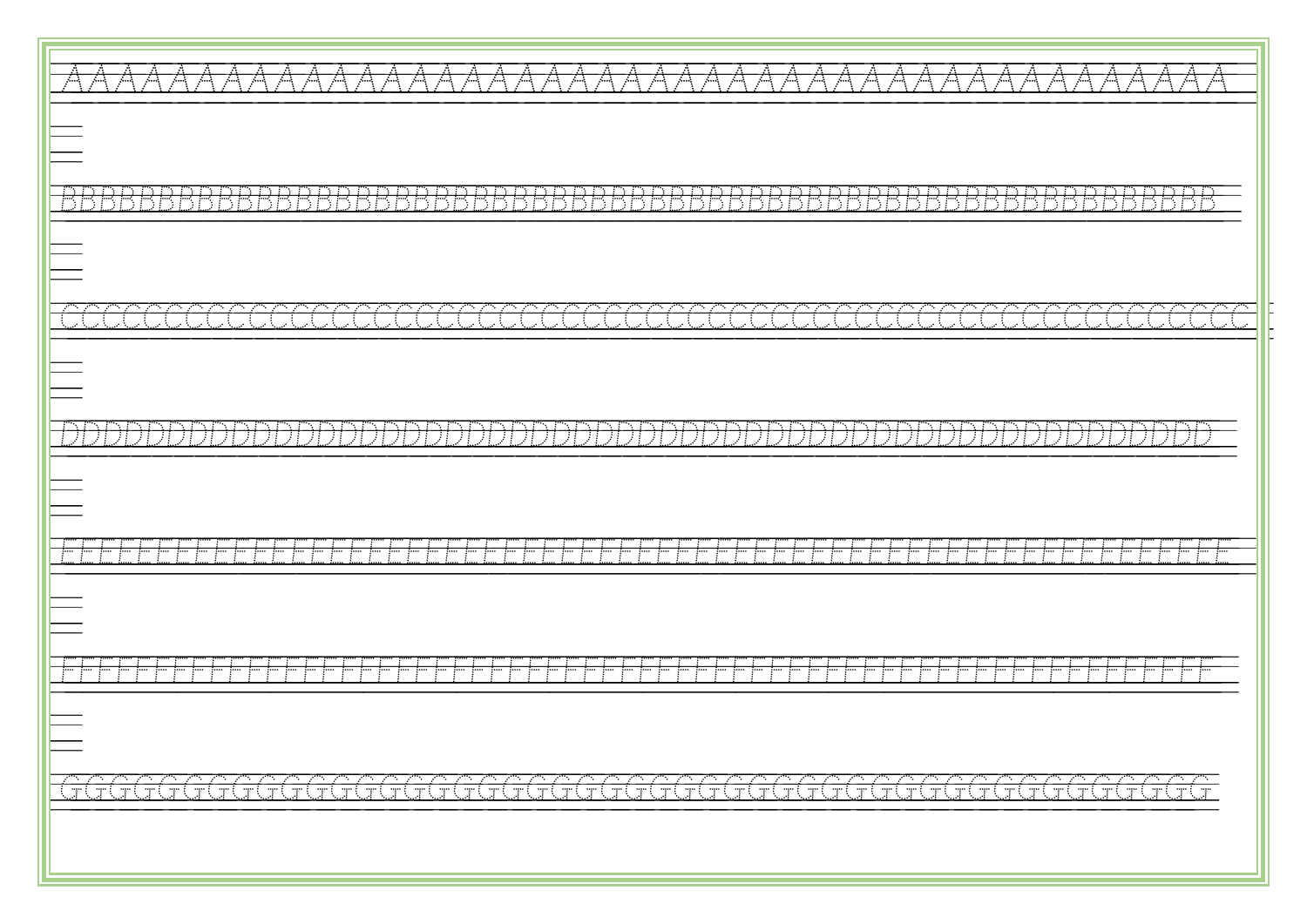